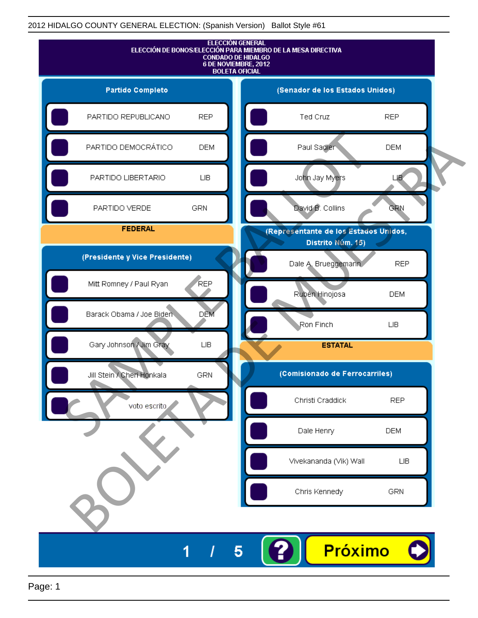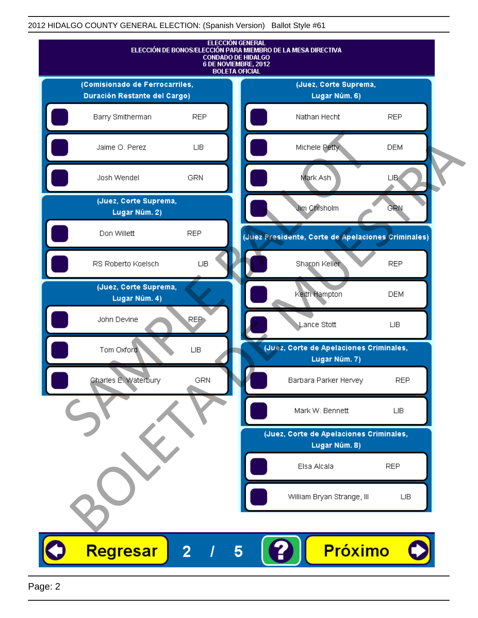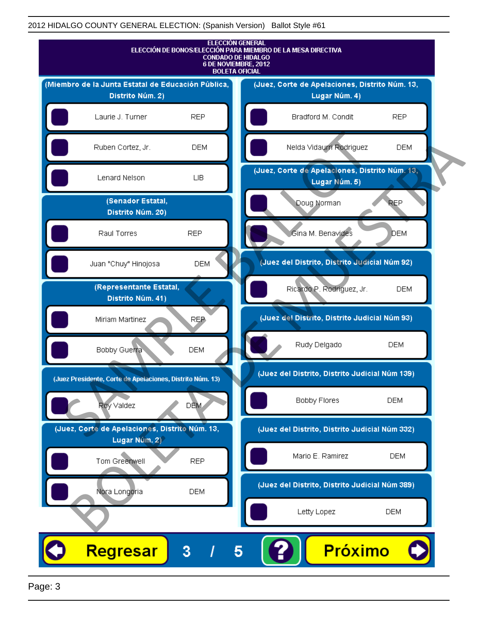

Page: 3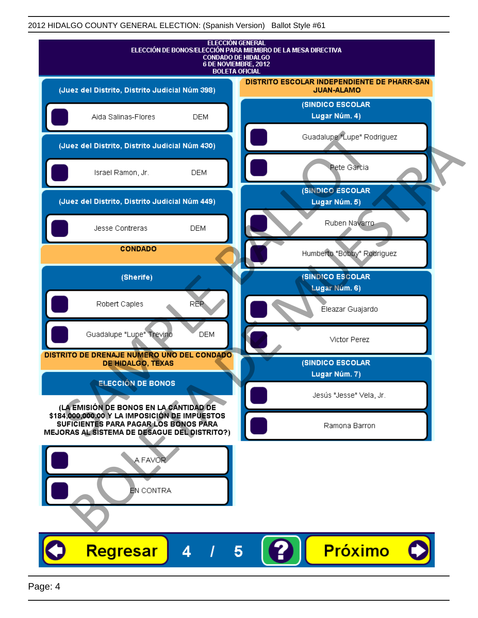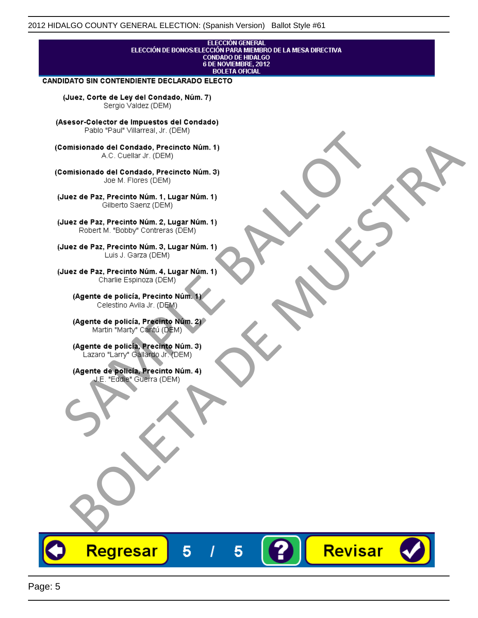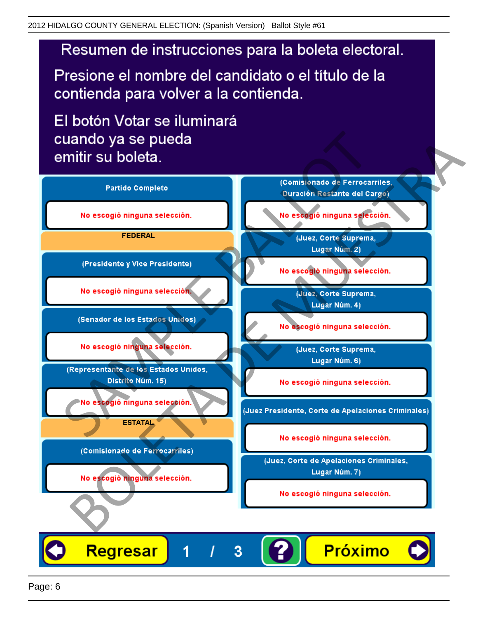# Resumen de instrucciones para la boleta electoral.

Presione el nombre del candidato o el título de la contienda para volver a la contienda.

El botón Votar se iluminará

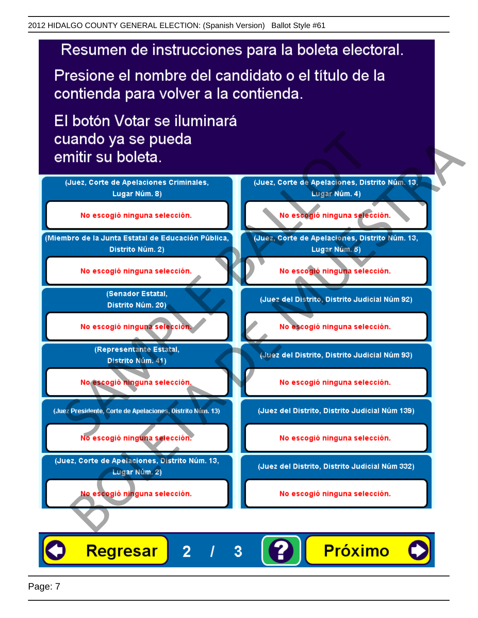# Resumen de instrucciones para la boleta electoral.

Presione el nombre del candidato o el título de la contienda para volver a la contienda.

El botón Votar se iluminará